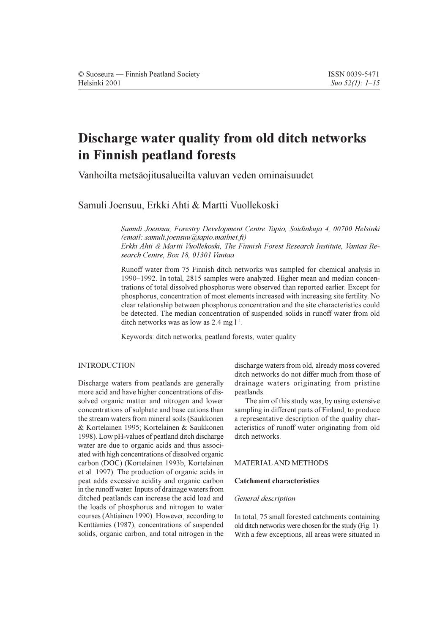# Discharge water quality from old ditch networks in Finnish peatland forests

Vanhoilta metsäojitusalueilta valuvan veden ominaisuudet

Samuli Joensuu, Erkki Ahti & Martti Vuollekoski

Samuli Joensuu, Forestry Development Centre Tapio, Soidinkuja 4, 00700 Helsinki  $(email: samuli. joensuu@tapio.mailnet.fi)$ Erkki Ahti & Martti Vuollekoski, The Finnish Forest Research Institute, Vantaa Research Centre, Box 18, 01301 Vantaa

Runoff water from 75 Finnish ditch networks was sampled for chemical analysis in 1990–1992. In total, 2815 samples were analyzed. Higher mean and median concentrations of total dissolved phosphorus were observed than reported earlier. Except for phosphorus, concentration of most elements increased with increasing site fertility. No clear relationship between phosphorus concentration and the site characteristics could be detected. The median concentration of suspended solids in runoff water from old ditch networks was as low as  $2.4 \text{ mg } l^{-1}$ .

Keywords: ditch networks, peatland forests, water quality

# **INTRODUCTION**

Discharge waters from peatlands are generally more acid and have higher concentrations of dissolved organic matter and nitrogen and lower concentrations of sulphate and base cations than the stream waters from mineral soils (Saukkonen) & Kortelainen 1995; Kortelainen & Saukkonen 1998). Low pH-values of peatland ditch discharge water are due to organic acids and thus associated with high concentrations of dissolved organic carbon (DOC) (Kortelainen 1993b, Kortelainen et al. 1997). The production of organic acids in peat adds excessive acidity and organic carbon in the runoff water. Inputs of drainage waters from ditched peatlands can increase the acid load and the loads of phosphorus and nitrogen to water courses (Ahtiainen 1990). However, according to Kenttämies (1987), concentrations of suspended solids, organic carbon, and total nitrogen in the discharge waters from old, already moss covered ditch networks do not differ much from those of drainage waters originating from pristine peatlands.

The aim of this study was, by using extensive sampling in different parts of Finland, to produce a representative description of the quality characteristics of runoff water originating from old ditch networks

#### **MATERIAL AND METHODS**

# **Catchment characteristics**

# General description

In total, 75 small forested catchments containing old ditch networks were chosen for the study (Fig. 1). With a few exceptions, all areas were situated in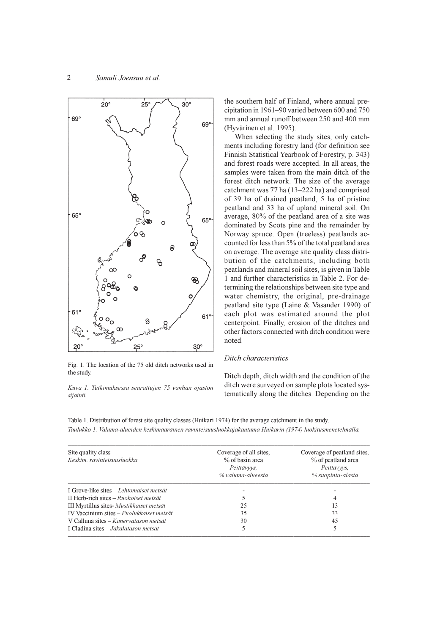

Fig. 1. The location of the 75 old ditch networks used in the study.

Kuva 1. Tutkimuksessa seurattujen 75 vanhan ojaston siiginti

the southern half of Finland, where annual precipitation in 1961–90 varied between 600 and 750 mm and annual runoff between 250 and 400 mm (Hyvärinen et al. 1995).

When selecting the study sites, only catchments including forestry land (for definition see Finnish Statistical Yearbook of Forestry, p. 343) and forest roads were accepted. In all areas, the samples were taken from the main ditch of the forest ditch network. The size of the average catchment was 77 ha (13-222 ha) and comprised of 39 ha of drained peatland, 5 ha of pristine peatland and 33 ha of upland mineral soil. On average, 80% of the peatland area of a site was dominated by Scots pine and the remainder by Norway spruce. Open (treeless) peatlands accounted for less than 5% of the total peatland area on average. The average site quality class distribution of the catchments, including both peatlands and mineral soil sites, is given in Table 1 and further characteristics in Table 2. For determining the relationships between site type and water chemistry, the original, pre-drainage peatland site type (Laine & Vasander 1990) of each plot was estimated around the plot centerpoint. Finally, erosion of the ditches and other factors connected with ditch condition were noted.

# Ditch characteristics

Ditch depth, ditch width and the condition of the ditch were surveyed on sample plots located systematically along the ditches. Depending on the

Table 1. Distribution of forest site quality classes (Huikari 1974) for the average catchment in the study. Taulukko 1. Valuma-alueiden keskimääräinen ravinteisuusluokkajakautuma Huikarin (1974) luokitusmenetelmällä.

| Site quality class<br>Keskim, ravinteisuusluokka | Coverage of all sites,<br>% of basin area<br>Peittävyys,<br>% valuma-alueesta | Coverage of peatland sites,<br>% of peatland area<br>Peittävyys,<br>% suopinta-alasta |
|--------------------------------------------------|-------------------------------------------------------------------------------|---------------------------------------------------------------------------------------|
| I Grove-like sites – Lehtomaiset metsät          |                                                                               |                                                                                       |
| II Herb-rich sites – Ruohoiset metsät            |                                                                               |                                                                                       |
| III Myrtillus sites- Mustikkaiset metsät         | 25                                                                            | 13                                                                                    |
| IV Vaccinium sites – Puolukkaiset metsät         | 35                                                                            | 33                                                                                    |
| V Calluna sites – Kanervatason metsät            | 30                                                                            | 45                                                                                    |
| I Cladina sites – Jäkälätason metsät             |                                                                               | 5                                                                                     |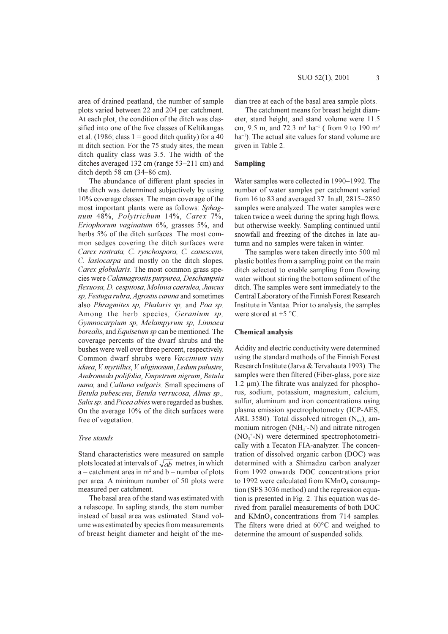area of drained peatland, the number of sample plots varied between 22 and 204 per catchment. At each plot, the condition of the ditch was classified into one of the five classes of Keltikangas et al. (1986; class  $1 = \text{good}$  ditch quality) for a 40 m ditch section. For the 75 study sites, the mean ditch quality class was 3.5. The width of the ditches averaged 132 cm (range 53–211 cm) and ditch depth 58 cm  $(34–86$  cm).

The abundance of different plant species in the ditch was determined subjectively by using 10% coverage classes. The mean coverage of the most important plants were as follows: Sphagnum 48%, Polytrichum 14%, Carex 7%, Eriophorum vaginatum 6%, grasses 5%, and herbs 5% of the ditch surfaces. The most common sedges covering the ditch surfaces were Carex rostrata, C. rynchospora, C. canescens, C. lasiocarpa and mostly on the ditch slopes, Carex globularis. The most common grass species were Calamagrostis purpurea, Deschampsia flexuosa, D. cespitosa, Molinia caerulea, Juncus sp, Festuga rubra, Agrostis canina and sometimes also Phragmites sp, Phalaris sp, and Poa sp. Among the herb species, Geranium sp, Gymnocarpium sp, Melampyrum sp, Linnaea borealis, and Equisetum sp can be mentioned. The coverage percents of the dwarf shrubs and the bushes were well over three percent, respectively. Common dwarf shrubs were Vaccinium vitis idaea, V. myrtillus, V. uliginosum, Ledum palustre, Andromeda polifolia, Empetrum nigrum, Betula nana, and Calluna vulgaris. Small specimens of Betula pubescens, Betula verrucosa, Almus sp., Salix sp. and Picea abies were regarded as bushes. On the average 10% of the ditch surfaces were free of vegetation.

#### Tree stands

Stand characteristics were measured on sample plots located at intervals of  $\sqrt{ab}$  metres, in which  $a =$  catchment area in m<sup>2</sup> and b = number of plots per area. A minimum number of 50 plots were measured per catchment.

The basal area of the stand was estimated with a relascope. In sapling stands, the stem number instead of basal area was estimated. Stand volume was estimated by species from measurements of breast height diameter and height of the median tree at each of the basal area sample plots.

The catchment means for breast height diameter, stand height, and stand volume were 11.5 cm, 9.5 m, and 72.3 m<sup>3</sup> ha<sup>-1</sup> (from 9 to 190 m<sup>3</sup> ha<sup>-1</sup>). The actual site values for stand volume are given in Table 2.

# **Sampling**

Water samples were collected in 1990–1992. The number of water samples per catchment varied from 16 to 83 and averaged 37. In all, 2815–2850 samples were analyzed. The water samples were taken twice a week during the spring high flows, but otherwise weekly. Sampling continued until snowfall and freezing of the ditches in late autumn and no samples were taken in winter.

The samples were taken directly into 500 ml plastic bottles from a sampling point on the main ditch selected to enable sampling from flowing water without stirring the bottom sediment of the ditch. The samples were sent immediately to the Central Laboratory of the Finnish Forest Research Institute in Vantaa. Prior to analysis, the samples were stored at  $+5$  °C.

#### **Chemical analysis**

Acidity and electric conductivity were determined using the standard methods of the Finnish Forest Research Institute (Jarva & Tervahauta 1993). The samples were then filtered (Fiber-glass, pore size  $1.2 \mu m$ ). The filtrate was analyzed for phosphorus, sodium, potassium, magnesium, calcium, sulfur, aluminum and iron concentrations using plasma emission spectrophotometry (ICP-AES, ARL 3580). Total dissolved nitrogen (N<sub>tot</sub>), ammonium nitrogen  $(NH_4-N)$  and nitrate nitrogen  $(NO<sub>3</sub><sup>+</sup>-N)$  were determined spectrophotometrically with a Tecaton FIA-analyzer. The concentration of dissolved organic carbon (DOC) was determined with a Shimadzu carbon analyzer from 1992 onwards. DOC concentrations prior to 1992 were calculated from KMnO<sub>4</sub> consumption (SFS 3036 method) and the regression equation is presented in Fig. 2. This equation was derived from parallel measurements of both DOC and KMnO<sub>4</sub> concentrations from 714 samples. The filters were dried at 60°C and weighed to determine the amount of suspended solids.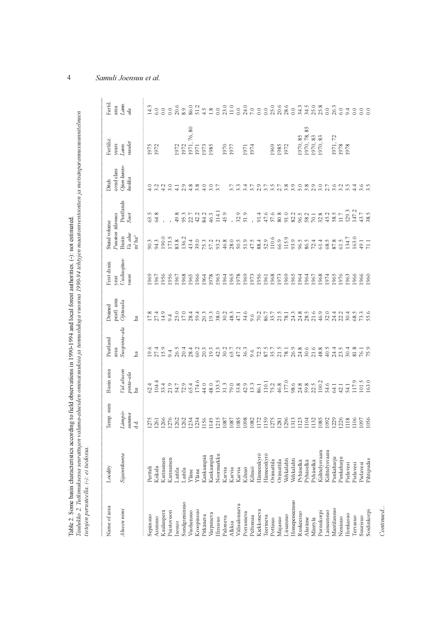| Alueen nimi<br>Kaulanperä<br>Sepänsuo<br>Asunsuo | Locality       | Temp. sum               | Basin area                    | Peatland<br>area             | peatl. area<br><b>Drained</b> | First drain.<br>year  | Puuston tilavuus<br>Stand volume           |                               | cond class<br>Ditch                | Fertiliz<br>years | Fertil<br>area                    |
|--------------------------------------------------|----------------|-------------------------|-------------------------------|------------------------------|-------------------------------|-----------------------|--------------------------------------------|-------------------------------|------------------------------------|-------------------|-----------------------------------|
|                                                  | Sijaintikunta  | Lämpö-<br>summa<br>d.d. | Val.alueen<br>pinta-ala<br>ha | Suopinta-ala<br>ha           | Ojitusala<br>ha               | Uudisojitus-<br>vuosi | Va alue<br>$m^3\,h a^{\text{-}1}$<br>Basin | Peatlands<br>S <sub>uot</sub> | Ojien kunto-<br>luokka             | vuodet<br>Lann.   | Lam.<br>dla                       |
|                                                  | Pertteli       | <b>1275</b>             | 52.4                          |                              | 17.8                          | 969                   | 90.3                                       | v<br>63                       | $\frac{0}{4}$                      | 1975              | 14.3                              |
|                                                  | Kiikala        | 1261                    | 104.4                         |                              | 27.4                          | 967                   | 94.3                                       | 64.8                          |                                    | 1972              | 6.0                               |
|                                                  | Karinainen     | 1266                    | 33.4                          | 19.4<br>27.4<br>15.9<br>26.5 | 14.9                          | 956                   | 0.061                                      |                               | $3.40$<br>$3.40$                   |                   | 0.0                               |
| Puistovuori                                      | Karinainen     | 276                     | 21.9                          |                              | 9.4                           | 956                   | 173.5                                      |                               |                                    |                   | 0.0                               |
| Isosuo                                           | Laitila        | 262                     | 54.7                          |                              | 25.0                          | .967                  | 83.8                                       | 49.8                          | d d d d d d d l<br>L d d d d d d l | 1972              | $\frac{20.6}{8.9}$                |
| Sundgreninsuo                                    | Laitila        | 1262                    | 72.9                          | 20.4                         | 17.0                          | 1968                  | 136.2                                      | 95.3                          |                                    | 1972              |                                   |
| Vuohensuo                                        | Yläne          | 234                     | 65.4                          | 28.4                         | 28.4                          | 965                   | 43.4                                       | 22.7                          |                                    | 971, 76, 80       |                                   |
| Kroopinsuo                                       | Yläne          | 1234                    | 174.6                         | 60.2                         | 59.4                          | 1966                  | 39.0                                       | 42.2                          |                                    | 1971              | 86.0<br>51.2                      |
| Pitkäneva                                        | Kankaanpää     | .156                    | $44.0$                        | 20.3                         | 20.3                          | .964                  | 75.3                                       | 84.2                          |                                    | 1973              |                                   |
| Varpuneva                                        | Kankaanpää     | 149                     | 48.0                          | 19.3                         | 19.3                          | 1978                  | 57.2                                       | 46.3                          |                                    | 1985              | $\frac{4.5}{1.8}$                 |
| Hirsisuo                                         | Noormarkku     | 215                     | 133.5                         | 42.3                         | 38.0                          | 1965                  |                                            | 114.1                         |                                    |                   | $_{0.0}$                          |
| Paloneva                                         | Karvia         | 1087                    | 31.3                          | 30.2                         | 30.2                          | 1964                  | 93.2<br>46.8                               | 45.9                          |                                    | 070               |                                   |
| Alkkia                                           | Karvia         | 1087                    | 79.0                          | 65.7                         | 48.3                          | 1965                  | 28.0                                       |                               |                                    | 1977              |                                   |
| Välisalonneva                                    | Karvia         | 1085                    | 53.8<br>42.9                  | 47.2                         | 47.1                          | 1978                  | 50.5                                       | 32.9                          | $3.\overline{3}$                   |                   | $23.0$<br>$1.0$<br>$7.0$<br>$7.0$ |
| Porrasneva                                       | Kihniö         | 1098                    |                               | 36.3                         | 34.6                          | 1969                  |                                            | 51.9                          |                                    | 1971              |                                   |
| Peltomaa                                         | Kihniö         | 1082                    | 13.3                          | $9.6$<br>72.5                | 9.6                           | 1973                  | 47.5                                       |                               |                                    | 1974              |                                   |
| Kiekkoneva                                       | Hämeenkyrö     | 1172                    | 86.1                          |                              | 70.2                          | 1956                  |                                            | 91.4                          |                                    |                   |                                   |
| Teerineva                                        | Hämeenkyrö     | 1159                    |                               |                              | 86.7                          | 1961                  |                                            | 47.6                          |                                    |                   |                                   |
| Pottisuo                                         | Orimattila     | 1275                    | $\frac{110.1}{75.2}$          | 87.5<br>55.7<br>21.5         | $35.7$<br>21.5                | 1968                  | $\frac{88.4}{52.9}$                        | 57.6                          |                                    | 1969              | 0.0880777                         |
| Majasuo                                          | Orimattila     | 1281                    |                               |                              |                               | 1973                  | 66.9                                       | 80.8                          |                                    | 1985              |                                   |
| Liisansuo                                        | Vehkalahti     | .296                    |                               | $78.1$                       | 78.1                          | 1969                  | 115.9                                      | 91.0                          |                                    | 1972              |                                   |
| Homeperseensuo                                   | Vehkalahti     | 313                     |                               | 26.9<br>24.8                 | 24.3                          | 1965                  | 93.9                                       | 82.2                          |                                    |                   |                                   |
| Ruskeesuo                                        | Pyhäselkä      | 123                     |                               |                              | 24.8                          | .964                  | 96.5                                       | 96.5                          |                                    | 1970, 85          |                                   |
| Alaräme                                          | Pyhäselkä      | 1104                    |                               | 30.6                         | 28.5                          | .964                  | 86.5                                       | 58.2                          |                                    | 1970, 78, 85      |                                   |
| Mäntylä                                          | Pyhäselkä      | 132                     | 177.0<br>98.6<br>24.8<br>59.3 | 21.6                         | 21.6                          | 1967                  | 72.4                                       | 70.1                          |                                    | 970,83            | $25.0$<br>$25.8$                  |
| Purnukorpi                                       | Kiihtelysvaara | 1085                    | 100.2                         | 48.8                         | 46.9                          | 968                   | 61.4                                       | 32.8                          |                                    | 1970, 83          |                                   |
| Laineensuo                                       | Kiihtelysvaara | .092                    | 54.6                          | 40.5                         | 32.0                          | 1974                  | $68.5$<br>$87.8$<br>$61.5$                 | 45.2                          |                                    |                   | 0.0                               |
| Mantilansuo                                      | Punkaharju     | 229                     | 64.1                          | 24.4                         | 24.4                          | .965                  |                                            | 58.5                          |                                    | 1971, 72          | 26.3                              |
| Nenäsuo                                          | Punkaharju     | 226                     | 42.1                          | 23.5                         | 22.2                          | 976                   |                                            | 117                           |                                    | 1978<br>1978      | 6.0                               |
| Honkasuo                                         | Pielavesi      | $\overline{118}$        | 54.1                          | 30.4                         | 30.4                          | .963                  | 134.7                                      | 129.3                         |                                    |                   | 9.4                               |
| Tervasuo                                         | Pielavesi      | 106                     | 117.9                         | 81.8                         | 68.5                          | 966                   | 163.0                                      | 147.2                         |                                    |                   | $\overline{0.0}$                  |
| Suurisuo                                         | Pielavesi      | 097                     | 101.5<br>163.0                | 76.1                         | 73.3                          | .966                  | 49.1                                       | 43.7<br>38.5                  | $3.\overline{5}$                   |                   | 0.0                               |
| Soidinkorpi                                      | Pihtipudas     | .056                    |                               | 75.9                         | 55.6                          | .960                  |                                            |                               | J.                                 |                   | $\overline{0}$ .0                 |

Table 2. Some basin characteristics according to field observations in 1990–1994 and local forest authorities. (-): not estimated.<br>Taulukko 2. Tutkimuksessa seurattujen valuma-alueiden ominaisuuksia ja tumnuslukuja vuosina

Samuli Joensuu et al.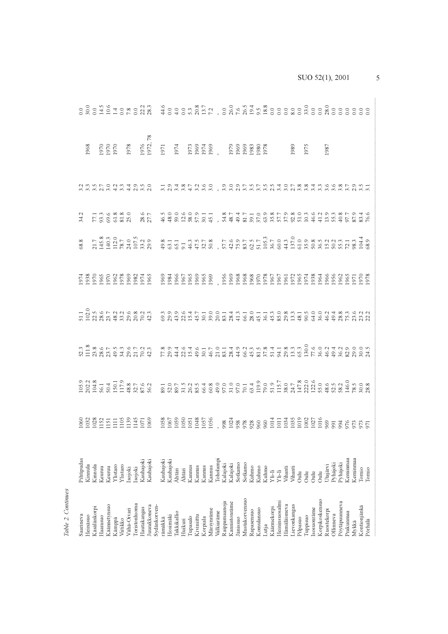|                                                                                                                                                                                                                                      | 1988<br>1970 – 1972, 1985 – 1986 – 1986 – 1986 – 1987<br>1987 – 1987 – 1988 – 1988 – 1988 – 1988 – 1988 – 1988 – 1988 – 1988 – 1988 – 1989 – 1989 – 1989 – 1989 – 1989 |              |          |          |             |              |             |              |              |           |           |                    |         |          |            |          |            |                 |               |               |          |                |            |            |       |             |                |              |             |             |          |            |                |                    |           |               |                 |                 |              |
|--------------------------------------------------------------------------------------------------------------------------------------------------------------------------------------------------------------------------------------|------------------------------------------------------------------------------------------------------------------------------------------------------------------------|--------------|----------|----------|-------------|--------------|-------------|--------------|--------------|-----------|-----------|--------------------|---------|----------|------------|----------|------------|-----------------|---------------|---------------|----------|----------------|------------|------------|-------|-------------|----------------|--------------|-------------|-------------|----------|------------|----------------|--------------------|-----------|---------------|-----------------|-----------------|--------------|
| condicional de dividua de la controva de crasa de coatón.<br>Gunto de dividual de la contrado de controva de crasa de coatón.                                                                                                        |                                                                                                                                                                        |              |          |          |             |              |             |              |              |           |           |                    |         |          |            |          |            |                 |               |               |          |                |            |            |       |             |                |              |             |             |          |            |                |                    |           |               |                 |                 |              |
| d haveasa ah deadhacadh as am sheachtar an hair ann an air<br>6 - Faocasa ah deadhacadh an an sheachtar an sheachtar an h                                                                                                            |                                                                                                                                                                        |              |          |          |             |              |             |              |              |           |           |                    |         |          |            |          |            |                 |               |               |          |                |            |            |       |             |                |              |             |             |          |            |                |                    |           |               |                 |                 |              |
|                                                                                                                                                                                                                                      |                                                                                                                                                                        |              |          |          |             |              |             |              |              |           |           |                    |         |          |            |          |            |                 |               |               |          |                |            |            |       |             |                |              |             |             |          |            |                |                    |           |               |                 |                 |              |
|                                                                                                                                                                                                                                      |                                                                                                                                                                        |              |          |          |             |              |             |              |              |           |           |                    |         |          |            |          |            |                 |               |               |          |                |            |            |       |             |                |              |             |             |          |            |                |                    |           |               |                 |                 |              |
|                                                                                                                                                                                                                                      |                                                                                                                                                                        |              |          |          |             |              |             |              |              |           |           |                    |         |          |            |          |            |                 |               |               |          |                |            |            |       |             |                |              |             |             |          |            |                |                    |           |               |                 |                 |              |
|                                                                                                                                                                                                                                      |                                                                                                                                                                        |              |          |          |             |              |             |              |              |           |           |                    |         |          |            |          |            |                 |               |               |          |                |            |            |       |             |                |              |             |             |          |            |                |                    |           |               |                 |                 |              |
| enda<br>1980 - Paris Barthari, marca especient e especient e de la califación de la califación de la califación de la<br>1980 - Paris Barthari, marca e especienta de la califación de la califación de la califación de la califaci |                                                                                                                                                                        |              |          |          |             |              |             |              |              |           |           |                    |         |          |            |          |            |                 |               |               |          |                |            |            |       |             |                |              |             |             |          |            |                |                    |           |               |                 |                 |              |
|                                                                                                                                                                                                                                      |                                                                                                                                                                        |              |          |          |             |              |             |              |              |           |           |                    |         |          |            |          |            |                 |               |               |          |                |            |            |       |             |                |              |             |             |          |            |                |                    |           |               |                 |                 |              |
| <b>Pihtipudas</b><br>Kinnula                                                                                                                                                                                                         | Kinnula<br>Keuruu                                                                                                                                                      | Keuruu       | Ylistaro | Ylistaro | sojoki      | sojoki       | Kauhajoki   | Kauhajoki    |              | Kauhajoki | Kauhajoki | Ähtäri             | Ähtäri  | Kannus   | Kannus     | Kannus   | Kannus     | <b>Coholamp</b> | Kalajoki      | Kalajoki      | Sotkamo  | Sotkamo        | Kuhmo      | Kuhmo      | Kuhmo | $Y1i-Ii$    | Yli-Ii         | Vihanti      | Vihanti     | <b>Julu</b> | Oulu     | Oulu       | Oulu           | Jtajärvi           | Pyhäjoki  | Pyhäjoki      | <b>Ceminmaa</b> | <b>Zeminmaa</b> | Tornio       |
| Heinäsuo<br>Saarineva                                                                                                                                                                                                                | Käsälänkorpi<br>Haarasuo                                                                                                                                               | Käännetynsuo | Kämppä   | Viitikko | Vähä-Oivari | coistonluoma | Hautakangas | Juurakkoneva | Sydänkorven- | rämäkkä   | Hosimäki  | <b>lakkikallio</b> | Huikuri | Tupasalo | Kiviniittu | Korpiala | Märsynräme | Valkiaräme      | Raippamaanoja | Kannistonräme | Jänissuo | Mustakorvensuo | Rapasensuo | Komulansuo | Jutja | Käärmekorpi | Heininsuosalmi | Hämäläisneva | ievonkangas | Pilpasuo    | Tuppisuo | sosuonräme | Korpikoskensuo | <b>Ruostekorpi</b> | Ollinneva | Pöytäpuunneva | Prakunmaa       | Mykkä           | Kontionjänkä |

 $\overline{5}$ 

Table 2. Continues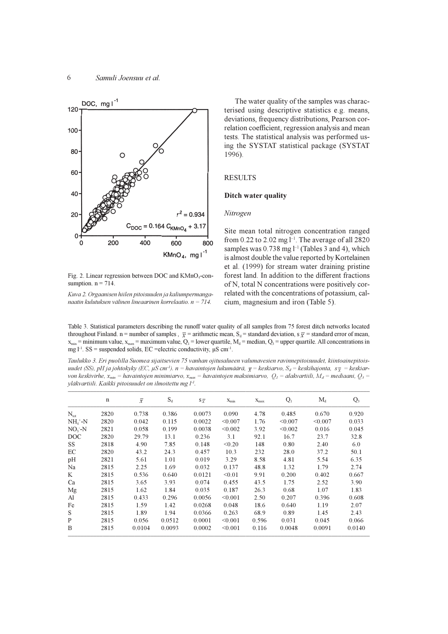

Fig. 2. Linear regression between DOC and KMnO<sub>4</sub>-consumption.  $n = 714$ .

Kuva 2. Orgaanisen hiilen pitoisuuden ja kaliumpermanganaatin kulutuksen välinen lineaarinen korrelaatio.  $n = 714$ .

The water quality of the samples was characterised using descriptive statistics e.g. means, deviations, frequency distributions, Pearson correlation coefficient, regression analysis and mean tests. The statistical analysis was performed using the SYSTAT statistical package (SYSTAT  $1996$ ).

# **RESULTS**

#### Ditch water quality

# Nitrogen

Site mean total nitrogen concentration ranged from 0.22 to 2.02 mg  $l^{-1}$ . The average of all 2820 samples was 0.738 mg  $l^{-1}$  (Tables 3 and 4), which is almost double the value reported by Kortelainen et al. (1999) for stream water draining pristine forest land. In addition to the different fractions of N, total N concentrations were positively correlated with the concentrations of potassium, calcium, magnesium and iron (Table 5).

Table 3. Statistical parameters describing the runoff water quality of all samples from 75 forest ditch networks located throughout Finland. n = number of samples,  $\bar{x}$  = arithmetic mean,  $S_d$  = standard deviation, s  $\bar{x}$  = standard error of mean,  $x_{min}$  = minimum value,  $x_{max}$  = maximum value,  $Q_1$  = lower quartile,  $M_d$  = median,  $Q_3$  = upper quartile. All concentrations in mg  $1^{-1}$ . SS = suspended solids, EC = electric conductivity,  $\mu$ S cm<sup>-1</sup>.

Taulukko 3. Eri puolilla Suomea sijaitsevien 75 vanhan ojitusalueen valumavesien ravinnepitoisuudet, kiintoainepitoisuudet (SS), pH ja johtokyky (EC,  $\mu$ S cm<sup>-1</sup>). n = havaintojen lukumäärä,  $\bar{x}$  = keskiarvo, S<sub>d</sub> = keskihajonta,  $s\bar{x}$  = keskiarvon keskivirhe,  $x_{min}$  = havaintojen minimiarvo,  $x_{max}$  = havaintojen maksimiarvo,  $Q_1$  = alakvartiili,  $M_d$  = mediaani,  $Q_3$  = yläkvartiili. Kaikki pitoisuudet on ilmoitettu mg  $l<sup>1</sup>$ .

|                  | $\mathbf n$ | $\overline{x}$ | $S_d$  | $S_{\overline{X}}$ | $X_{min}$ | $X_{\max}$ | $Q_1$   | $M_d$   | $Q_3$  |
|------------------|-------------|----------------|--------|--------------------|-----------|------------|---------|---------|--------|
| $N_{\text{tot}}$ | 2820        | 0.738          | 0.386  | 0.0073             | 0.090     | 4.78       | 0.485   | 0.670   | 0.920  |
| $NH4+-N$         | 2820        | 0.042          | 0.115  | 0.0022             | < 0.007   | 1.76       | < 0.007 | < 0.007 | 0.033  |
| $NO3 - N$        | 2821        | 0.058          | 0.199  | 0.0038             | < 0.002   | 3.92       | < 0.002 | 0.016   | 0.045  |
| DOC              | 2820        | 29.79          | 13.1   | 0.236              | 3.1       | 92.1       | 16.7    | 23.7    | 32.8   |
| SS.              | 2818        | 4.90           | 7.85   | 0.148              | < 0.20    | 148        | 0.80    | 2.40    | 6.0    |
| EC               | 2820        | 43.2           | 24.3   | 0.457              | 10.3      | 232        | 28.0    | 37.2    | 50.1   |
| pH               | 2821        | 5.61           | 1.01   | 0.019              | 3.29      | 8.58       | 4.81    | 5.54    | 6.35   |
| Na               | 2815        | 2.25           | 1.69   | 0.032              | 0.137     | 48.8       | 1.32    | 1.79    | 2.74   |
| K                | 2815        | 0.536          | 0.640  | 0.0121             | < 0.01    | 9.91       | 0.200   | 0.402   | 0.667  |
| Ca               | 2815        | 3.65           | 3.93   | 0.074              | 0.455     | 43.5       | 1.75    | 2.52    | 3.90   |
| Mg               | 2815        | 1.62           | 1.84   | 0.035              | 0.187     | 26.3       | 0.68    | 1.07    | 1.83   |
| Al               | 2815        | 0.433          | 0.296  | 0.0056             | < 0.001   | 2.50       | 0.207   | 0.396   | 0.608  |
| Fe               | 2815        | 1.59           | 1.42   | 0.0268             | 0.048     | 18.6       | 0.640   | 1.19    | 2.07   |
| S                | 2815        | 1.89           | 1.94   | 0.0366             | 0.263     | 68.9       | 0.89    | 1.45    | 2.43   |
| P                | 2815        | 0.056          | 0.0512 | 0.0001             | < 0.001   | 0.596      | 0.031   | 0.045   | 0.066  |
| B                | 2815        | 0.0104         | 0.0093 | 0.0002             | < 0.001   | 0.116      | 0.0048  | 0.0091  | 0.0140 |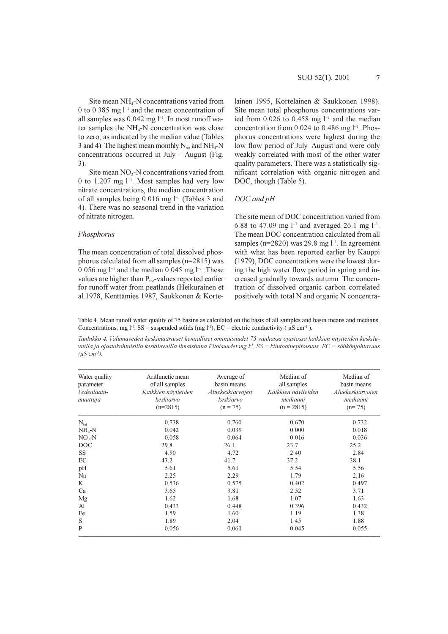Site mean NH<sub>4</sub>-N concentrations varied from 0 to 0.385 mg  $l^{-1}$  and the mean concentration of all samples was 0.042 mg l<sup>-1</sup>. In most runoff water samples the NH<sub>4</sub>-N concentration was close to zero, as indicated by the median value (Tables 3 and 4). The highest mean monthly  $N_{tot}$  and  $NH_4$ -N concentrations occurred in July  $-$  August (Fig.  $3)$ .

Site mean NO<sub>3</sub>-N concentrations varied from 0 to 1.207 mg  $l^{-1}$ . Most samples had very low nitrate concentrations, the median concentration of all samples being 0.016 mg  $l^{-1}$  (Tables 3 and 4). There was no seasonal trend in the variation of nitrate nitrogen.

# Phosphorus

The mean concentration of total dissolved phosphorus calculated from all samples (n=2815) was 0.056 mg  $l^{-1}$  and the median 0.045 mg  $l^{-1}$ . These values are higher than  $P_{tot}$ -values reported earlier for runoff water from peatlands (Heikurainen et al. 1978, Kenttämies 1987, Saukkonen & Korte-

lainen 1995, Kortelainen & Saukkonen 1998). Site mean total phosphorus concentrations varied from 0.026 to 0.458 mg l<sup>-1</sup> and the median concentration from 0.024 to 0.486 mg l<sup>-1</sup>. Phosphorus concentrations were highest during the low flow period of July–August and were only weakly correlated with most of the other water quality parameters. There was a statistically significant correlation with organic nitrogen and DOC, though (Table 5).

# DOC and pH

The site mean of DOC concentration varied from 6.88 to 47.09 mg  $l^{-1}$  and averaged 26.1 mg  $l^{-1}$ . The mean DOC concentration calculated from all samples ( $n=2820$ ) was 29.8 mg  $l^{-1}$ . In agreement with what has been reported earlier by Kauppi (1979), DOC concentrations were the lowest during the high water flow period in spring and increased gradually towards autumn. The concentration of dissolved organic carbon correlated positively with total N and organic N concentra-

Table 4. Mean runoff water quality of 75 basins as calculated on the basis of all samples and basin means and medians. Concentrations: mg  $1^1$ , SS = suspended solids (mg  $1^1$ ), EC = electric conductivity (uS cm<sup>-1</sup>).

Taulukko 4. Valumaveden keskimääräiset kemialliset ominaisuudet 75 vanhassa ojastossa kaikkien näytteiden keskiluvuilla ja ojastokohtaisilla keskiluvuilla ilmaistuina Pitoisuudet mg  $l<sup>1</sup>$ , SS = kiintoainepitoisuus, EC = sähkönjohtavuus  $(\mu S \, cm^{-1})$ .

| Water quality<br>parameter<br>Vedenlaatu-<br>muuttuja | Arithmetic mean<br>of all samples<br>Kaikkien näytteiden<br>keskiarvo<br>$(n=2815)$ | Average of<br>basin means<br>Aluekeskiarvojen<br>keskiarvo<br>$(n = 75)$ | Median of<br>all samples<br>Kaikkien näytteiden<br>mediaani<br>$(n = 2815)$ | Median of<br>basin means<br>Aluekeskiarvojen<br>mediaani<br>$(n=75)$ |
|-------------------------------------------------------|-------------------------------------------------------------------------------------|--------------------------------------------------------------------------|-----------------------------------------------------------------------------|----------------------------------------------------------------------|
| $N_{\text{tot}}$                                      | 0.738                                                                               | 0.760                                                                    | 0.670                                                                       | 0.732                                                                |
| $NH4-N$                                               | 0.042                                                                               | 0.039                                                                    | 0.000                                                                       | 0.018                                                                |
| $NO3-N$                                               | 0.058                                                                               | 0.064                                                                    | 0.016                                                                       | 0.036                                                                |
| <b>DOC</b>                                            | 29.8                                                                                | 26.1                                                                     | 23.7                                                                        | 25.2                                                                 |
| SS                                                    | 4.90                                                                                | 4.72                                                                     | 2.40                                                                        | 2.84                                                                 |
| EC                                                    | 43.2                                                                                | 41.7                                                                     | 37.2                                                                        | 38.1                                                                 |
| pH                                                    | 5.61                                                                                | 5.61                                                                     | 5.54                                                                        | 5.56                                                                 |
| Na                                                    | 2.25                                                                                | 2.29                                                                     | 1.79                                                                        | 2.16                                                                 |
| K                                                     | 0.536                                                                               | 0.575                                                                    | 0.402                                                                       | 0.497                                                                |
| Ca                                                    | 3.65                                                                                | 3.81                                                                     | 2.52                                                                        | 3.71                                                                 |
| Mg                                                    | 1.62                                                                                | 1.68                                                                     | 1.07                                                                        | 1.63                                                                 |
| Al                                                    | 0.433                                                                               | 0.448                                                                    | 0.396                                                                       | 0.432                                                                |
| Fe                                                    | 1.59                                                                                | 1.60                                                                     | 1.19                                                                        | 1.38                                                                 |
| S                                                     | 1.89                                                                                | 2.04                                                                     | 1.45                                                                        | 1.88                                                                 |
| P                                                     | 0.056                                                                               | 0.061                                                                    | 0.045                                                                       | 0.055                                                                |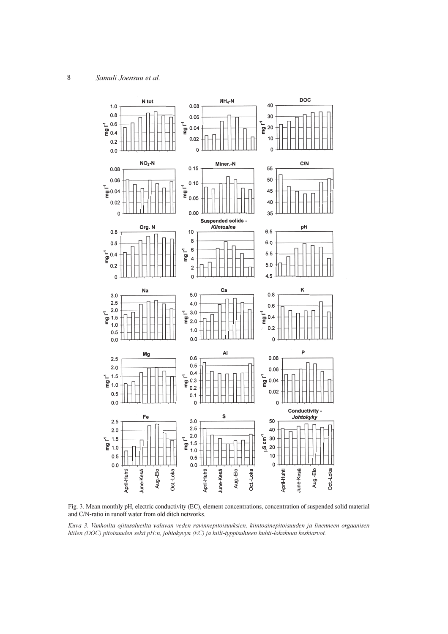$\,$   $\,$ 



Fig. 3. Mean monthly pH, electric conductivity (EC), element concentrations, concentration of suspended solid material and C/N-ratio in runoff water from old ditch networks.

Kuva 3. Vanhoilta ojitusalueilta valuvan veden ravinnepitoisuuksien, kiintoainepitoisuuden ja liuenneen orgaanisen hiilen (DOC) pitoisuuden sekä pH:n, johtokyvyn (EC) ja hiili-typpisuhteen huhti-lokakuun keskiarvot.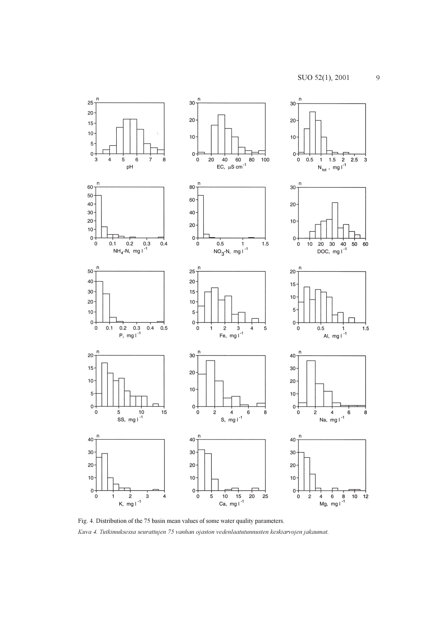

Fig. 4. Distribution of the 75 basin mean values of some water quality parameters. Kuva 4. Tutkimuksessa seurattujen 75 vanhan ojaston vedenlaatutunnusten keskiarvojen jakaumat.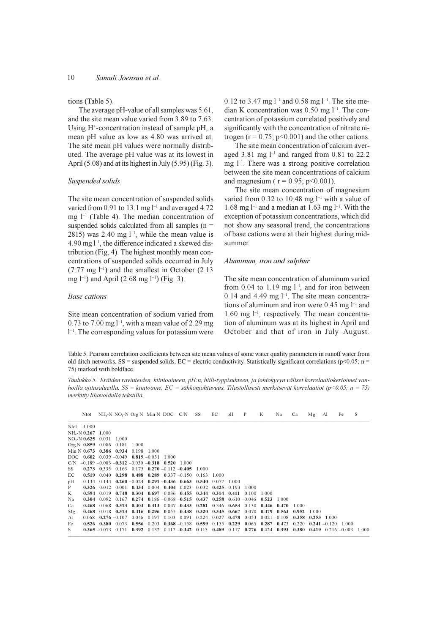tions (Table 5).

The average pH-value of all samples was 5.61, and the site mean value varied from 3.89 to 7.63. Using H<sup>+</sup>-concentration instead of sample pH, a mean pH value as low as 4.80 was arrived at. The site mean pH values were normally distributed. The average pH value was at its lowest in April (5.08) and at its highest in July (5.95) (Fig. 3).

#### Suspended solids

The site mean concentration of suspended solids varied from 0.91 to 13.1 mg l<sup>-1</sup> and averaged 4.72 mg  $l^{-1}$  (Table 4). The median concentration of suspended solids calculated from all samples ( $n =$ 2815) was 2.40 mg  $l^{-1}$ , while the mean value is 4.90 mg l<sup>-1</sup>, the difference indicated a skewed distribution (Fig. 4). The highest monthly mean concentrations of suspended solids occurred in July  $(7.77 \text{ mg } l^{-1})$  and the smallest in October  $(2.13 \text{ m})$ mg  $l^{-1}$ ) and April (2.68 mg  $l^{-1}$ ) (Fig. 3).

#### **Base** cations

Site mean concentration of sodium varied from 0.73 to 7.00 mg  $l^{-1}$ , with a mean value of 2.29 mg  $1<sup>-1</sup>$ . The corresponding values for potassium were 0.12 to 3.47 mg  $l^{-1}$  and 0.58 mg  $l^{-1}$ . The site median K concentration was  $0.50$  mg  $l^{-1}$ . The concentration of potassium correlated positively and significantly with the concentration of nitrate nitrogen ( $r = 0.75$ ;  $p < 0.001$ ) and the other cations.

The site mean concentration of calcium averaged 3.81 mg  $l^{-1}$  and ranged from 0.81 to 22.2 mg  $l^{-1}$ . There was a strong positive correlation between the site mean concentrations of calcium and magnesium ( $r = 0.95$ ;  $p < 0.001$ ).

The site mean concentration of magnesium varied from 0.32 to 10.48 mg  $l^{-1}$  with a value of 1.68 mg  $l^{-1}$  and a median at 1.63 mg  $l^{-1}$ . With the exception of potassium concentrations, which did not show any seasonal trend, the concentrations of base cations were at their highest during midsummer.

#### Aluminum, iron and sulphur

The site mean concentration of aluminum varied from 0.04 to 1.19 mg  $l^{-1}$ , and for iron between 0.14 and 4.49 mg  $l^{-1}$ . The site mean concentrations of aluminum and iron were 0.45 mg  $\mathbb{H}^1$  and  $1.60$  mg  $l^{-1}$ , respectively. The mean concentration of aluminum was at its highest in April and October and that of iron in July-August.

Table 5. Pearson correlation coefficients between site mean values of some water quality parameters in runoff water from old ditch networks. SS = suspended solids, EC = electric conductivity. Statistically significant correlations ( $p$ <0.05;  $n =$ 75) marked with boldface.

Taulukko 5. Eräiden ravinteiden, kiintoaineen, pH:n, hiili-typpisuhteen, ja johtokyvyn väliset korrelaatiokertoimet vanhoilla ojitusalueilla. SS = kiintoaine, EC = sähkönjohtavuus. Tilastollisesti merkitsevät korrelaatiot (p<0.05; n = 75) merkitty lihavoidulla tekstillä.

|     |                                               |                         | Ntot $NH_A-N NO_3-N Org N Min N DOC CN SS EC$                |       |                                         |         |       |       |       | рH                                                                                                     | $\mathbf{P}$ | K     | Na      | Ca    | $Mg$ Al |                                                                                                                                  | Fe | S     |
|-----|-----------------------------------------------|-------------------------|--------------------------------------------------------------|-------|-----------------------------------------|---------|-------|-------|-------|--------------------------------------------------------------------------------------------------------|--------------|-------|---------|-------|---------|----------------------------------------------------------------------------------------------------------------------------------|----|-------|
|     | Ntot 1.000                                    |                         |                                                              |       |                                         |         |       |       |       |                                                                                                        |              |       |         |       |         |                                                                                                                                  |    |       |
|     | $NH4-N$ 0.267 1.000                           |                         |                                                              |       |                                         |         |       |       |       |                                                                                                        |              |       |         |       |         |                                                                                                                                  |    |       |
|     | $NO3-N$ 0.625 0.031 1.000                     |                         |                                                              |       |                                         |         |       |       |       |                                                                                                        |              |       |         |       |         |                                                                                                                                  |    |       |
|     | Org N 0.859 0.086 0.181 1.000                 |                         |                                                              |       |                                         |         |       |       |       |                                                                                                        |              |       |         |       |         |                                                                                                                                  |    |       |
|     | Min N $0.673$ 0.386 0.934 0.198               |                         |                                                              |       | - 1.000                                 |         |       |       |       |                                                                                                        |              |       |         |       |         |                                                                                                                                  |    |       |
|     | DOC $0.602$ $0.039 -0.049$ $0.819 -0.031$     |                         |                                                              |       |                                         | - 1.000 |       |       |       |                                                                                                        |              |       |         |       |         |                                                                                                                                  |    |       |
|     | $CN$ -0.189 -0.083 -0.312 -0.030 -0.318 0.520 |                         |                                                              |       |                                         |         | 1.000 |       |       |                                                                                                        |              |       |         |       |         |                                                                                                                                  |    |       |
| SS. |                                               |                         | $0.273$ $0.335$ $0.163$ $0.175$ $0.270$ $-0.112$ $-0.405$    |       |                                         |         |       | 1.000 |       |                                                                                                        |              |       |         |       |         |                                                                                                                                  |    |       |
| ЕC  |                                               | $0.519 \quad 0.040$     |                                                              |       | $0.298$ $0.488$ $0.289$ $0.337 - 0.150$ |         |       | 0.163 | 1.000 |                                                                                                        |              |       |         |       |         |                                                                                                                                  |    |       |
| pН  |                                               |                         | $0.134$ $0.144$ $0.260 -0.024$ $0.291 -0.436 -0.663$ $0.540$ |       |                                         |         |       |       | 0.077 | 1.000                                                                                                  |              |       |         |       |         |                                                                                                                                  |    |       |
| P   |                                               | $0.326 - 0.012$         |                                                              |       |                                         |         |       |       |       | $0.001$ $0.434 - 0.004$ $0.404$ $0.023 - 0.032$ $0.425 - 0.193$                                        | 1.000        |       |         |       |         |                                                                                                                                  |    |       |
| K   |                                               | $0.594 \quad 0.019$     |                                                              |       |                                         |         |       |       |       | $0.748$ $0.304$ $0.697 -0.036 -0.455$ $0.344$ $0.314$ $0.411$                                          | 0.100        | 1.000 |         |       |         |                                                                                                                                  |    |       |
| Na  | 0.304                                         | 0.092                   |                                                              |       |                                         |         |       |       |       | $0.167$ $0.274$ $0.186 - 0.068 - 0.515$ $0.437$ $0.258$ $0.610 - 0.046$ $0.523$                        |              |       | - 1.000 |       |         |                                                                                                                                  |    |       |
| Ca  |                                               |                         |                                                              |       |                                         |         |       |       |       | $0.468$ $0.068$ $0.313$ $0.403$ $0.313$ $0.047 -0.433$ $0.281$ $0.346$ $0.653$ $0.130$ $0.446$ $0.470$ |              |       |         | 1.000 |         |                                                                                                                                  |    |       |
| Mg  |                                               |                         |                                                              |       |                                         |         |       |       |       | $0.468$ 0.018 0.313 0.416 0.296 0.055 -0.438 0.320 0.345 0.667 0.070 0.479 0.563                       |              |       |         | 0.952 | - 1.000 |                                                                                                                                  |    |       |
| Al  |                                               |                         |                                                              |       |                                         |         |       |       |       |                                                                                                        |              |       |         |       |         | $-0.068$ $-0.276$ $-0.107$ 0.046 $-0.197$ 0.103 0.091 $-0.224$ $-0.027$ $-0.478$ 0.053 $-0.021$ $-0.108$ $-0.358$ $-0.253$ 1.000 |    |       |
| Fe  |                                               | $0.526$ $0.380$ $0.073$ |                                                              |       |                                         |         |       |       |       | $0.556$ $0.203$ $0.368$ $-0.158$ $0.599$ $0.155$ $0.229$                                               |              |       |         |       |         | $0.065$ $0.287$ $0.473$ $0.220$ $0.241$ $-0.120$ 1.000                                                                           |    |       |
| S   |                                               | $0.365 - 0.073$         | 0.171                                                        | 0.392 |                                         |         |       |       |       | $0.132$ $0.117 -0.342$ $0.115$ $0.489$ $0.117$                                                         |              |       |         |       |         | $0.276$ $0.424$ $0.393$ $0.380$ $0.419$ $0.216 - 0.003$                                                                          |    | 1.000 |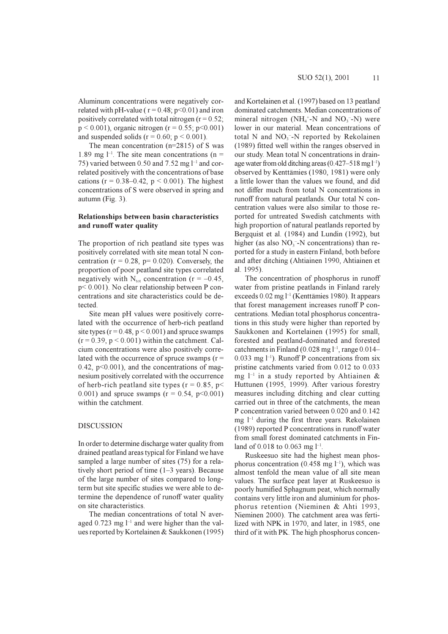Aluminum concentrations were negatively correlated with pH-value ( $r = 0.48$ ;  $p < 0.01$ ) and iron positively correlated with total nitrogen ( $r = 0.52$ ;  $p < 0.001$ ), organic nitrogen (r = 0.55; p<0.001) and suspended solids ( $r = 0.60$ ;  $p \le 0.001$ ).

The mean concentration ( $n=2815$ ) of S was 1.89 mg  $]^{-1}$ . The site mean concentrations (n = 75) varied between 0.50 and 7.52 mg l<sup>-1</sup> and correlated positively with the concentrations of base cations ( $r = 0.38 - 0.42$ ,  $p < 0.001$ ). The highest concentrations of S were observed in spring and autumn (Fig.  $3$ ).

# Relationships between basin characteristics and runoff water quality

The proportion of rich peatland site types was positively correlated with site mean total N concentration ( $r = 0.28$ ,  $p = 0.020$ ). Conversely, the proportion of poor peatland site types correlated negatively with  $N_{tot}$  concentration ( $r = -0.45$ ).  $p$  < 0.001). No clear relationship between P concentrations and site characteristics could be detected.

Site mean pH values were positively correlated with the occurrence of herb-rich peatland site types ( $r = 0.48$ ,  $p < 0.001$ ) and spruce swamps  $(r = 0.39, p < 0.001)$  within the catchment. Calcium concentrations were also positively correlated with the occurrence of spruce swamps  $(r =$  $0.42$ ,  $p<0.001$ ), and the concentrations of magnesium positively correlated with the occurrence of herb-rich peatland site types ( $r = 0.85$ ,  $p <$ 0.001) and spruce swamps ( $r = 0.54$ ,  $p \le 0.001$ ) within the catchment.

# **DISCUSSION**

In order to determine discharge water quality from drained peatland areas typical for Finland we have sampled a large number of sites (75) for a relatively short period of time  $(1-3$  years). Because of the large number of sites compared to longterm but site specific studies we were able to determine the dependence of runoff water quality on site characteristics.

The median concentrations of total N averaged 0.723 mg  $l^{-1}$  and were higher than the values reported by Kortelainen & Saukkonen (1995) and Kortelainen et al. (1997) based on 13 peatland dominated catchments. Median concentrations of mineral nitrogen (NH<sub>4</sub>+-N and NO<sub>3</sub>-N) were lower in our material. Mean concentrations of total N and  $NO_3$ <sup>-</sup>-N reported by Rekolainen (1989) fitted well within the ranges observed in our study. Mean total N concentrations in drainage water from old ditching areas  $(0.427-518 \text{ mg l}^{-1})$ observed by Kenttämies (1980, 1981) were only a little lower than the values we found, and did not differ much from total N concentrations in runoff from natural peatlands. Our total N concentration values were also similar to those reported for untreated Swedish catchments with high proportion of natural peatlands reported by Bergquist et al. (1984) and Lundin (1992), but higher (as also  $NO<sub>3</sub><sup>-</sup>-N$  concentrations) than reported for a study in eastern Finland, both before and after ditching (Ahtiainen 1990, Ahtiainen et al. 1995).

The concentration of phosphorus in runoff water from pristine peatlands in Finland rarely exceeds  $0.02$  mg  $l^{-1}$  (Kenttämies 1980). It appears that forest management increases runoff P concentrations. Median total phosphorus concentrations in this study were higher than reported by Saukkonen and Kortelainen (1995) for small, forested and peatland-dominated and forested catchments in Finland (0.028 mg  $l^{-1}$ , range 0.014– 0.033 mg  $l^{-1}$ ). Runoff P concentrations from six pristine catchments varied from 0.012 to 0.033 mg  $l^{-1}$  in a study reported by Ahtiainen & Huttunen (1995, 1999). After various forestry measures including ditching and clear cutting carried out in three of the catchments, the mean P concentration varied between 0.020 and 0.142  $mg$   $l^{-1}$  during the first three years. Rekolainen (1989) reported P concentrations in runoff water from small forest dominated catchments in Finland of 0.018 to 0.063 mg  $l^{-1}$ .

Ruskeesuo site had the highest mean phosphorus concentration (0.458 mg  $l^{-1}$ ), which was almost tenfold the mean value of all site mean values. The surface peat layer at Ruskeesuo is poorly humified Sphagnum peat, which normally contains very little iron and aluminium for phosphorus retention (Nieminen & Ahti 1993, Nieminen 2000). The catchment area was fertilized with NPK in 1970, and later, in 1985, one third of it with PK. The high phosphorus concen-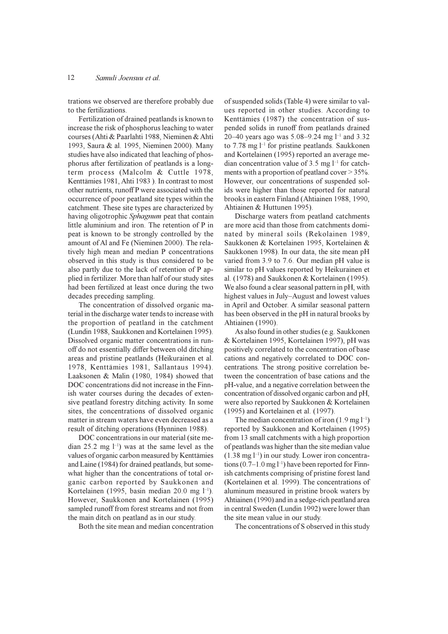trations we observed are therefore probably due to the fertilizations.

Fertilization of drained peatlands is known to increase the risk of phosphorus leaching to water courses (Ahti & Paarlahti 1988, Nieminen & Ahti 1993, Saura & al. 1995, Nieminen 2000). Many studies have also indicated that leaching of phosphorus after fertilization of peatlands is a longterm process (Malcolm & Cuttle 1978, Kenttämies 1981, Ahti 1983). In contrast to most other nutrients, runoff P were associated with the occurrence of poor peatland site types within the catchment. These site types are characterized by having oligotrophic Sphagmum peat that contain little aluminium and iron. The retention of P in peat is known to be strongly controlled by the amount of Al and Fe (Nieminen 2000). The relatively high mean and median P concentrations observed in this study is thus considered to be also partly due to the lack of retention of P applied in fertilizer. More than half of our study sites had been fertilized at least once during the two decades preceding sampling.

The concentration of dissolved organic material in the discharge water tends to increase with the proportion of peatland in the catchment (Lundin 1988, Saukkonen and Kortelainen 1995). Dissolved organic matter concentrations in runoff do not essentially differ between old ditching areas and pristine peatlands (Heikurainen et al. 1978, Kenttämies 1981, Sallantaus 1994). Laaksonen & Malin (1980, 1984) showed that DOC concentrations did not increase in the Finnish water courses during the decades of extensive peatland forestry ditching activity. In some sites, the concentrations of dissolved organic matter in stream waters have even decreased as a result of ditching operations (Hynninen 1988).

DOC concentrations in our material (site median 25.2 mg  $l^{-1}$ ) was at the same level as the values of organic carbon measured by Kenttämies and Laine (1984) for drained peatlands, but somewhat higher than the concentrations of total organic carbon reported by Saukkonen and Kortelainen (1995, basin median 20.0 mg l<sup>-1</sup>). However, Saukkonen and Kortelainen (1995) sampled runoff from forest streams and not from the main ditch on peatland as in our study.

Both the site mean and median concentration

of suspended solids (Table 4) were similar to values reported in other studies. According to Kenttämies (1987) the concentration of suspended solids in runoff from peatlands drained 20–40 years ago was 5.08–9.24 mg  $l^{-1}$  and 3.32 to 7.78 mg  $l^{-1}$  for pristine peatlands. Saukkonen and Kortelainen (1995) reported an average median concentration value of 3.5 mg  $l<sup>-1</sup>$  for catchments with a proportion of peatland cover  $>$  35%. However, our concentrations of suspended solids were higher than those reported for natural brooks in eastern Finland (Ahtiainen 1988, 1990, Ahtiainen & Huttunen 1995).

Discharge waters from peatland catchments are more acid than those from catchments dominated by mineral soils (Rekolainen 1989, Saukkonen & Kortelainen 1995, Kortelainen & Saukkonen 1998). In our data, the site mean pH varied from 3.9 to 7.6. Our median pH value is similar to pH values reported by Heikurainen et al. (1978) and Saukkonen & Kortelainen (1995). We also found a clear seasonal pattern in pH, with highest values in July–August and lowest values in April and October. A similar seasonal pattern has been observed in the pH in natural brooks by Ahtiainen (1990).

As also found in other studies (e.g. Saukkonen & Kortelainen 1995, Kortelainen 1997), pH was positively correlated to the concentration of base cations and negatively correlated to DOC concentrations. The strong positive correlation between the concentration of base cations and the pH-value, and a negative correlation between the concentration of dissolved organic carbon and pH. were also reported by Saukkonen & Kortelainen (1995) and Kortelainen et al. (1997).

The median concentration of iron  $(1.9 \text{ mg } l^{-1})$ reported by Saukkonen and Kortelainen (1995) from 13 small catchments with a high proportion of peatlands was higher than the site median value  $(1.38 \text{ mg l}^{-1})$  in our study. Lower iron concentrations  $(0.7-1.0 \text{ mg l}^{-1})$  have been reported for Finnish catchments comprising of pristine forest land (Kortelainen et al. 1999). The concentrations of aluminum measured in pristine brook waters by Ahtiainen (1990) and in a sedge-rich peatland area in central Sweden (Lundin 1992) were lower than the site mean value in our study.

The concentrations of S observed in this study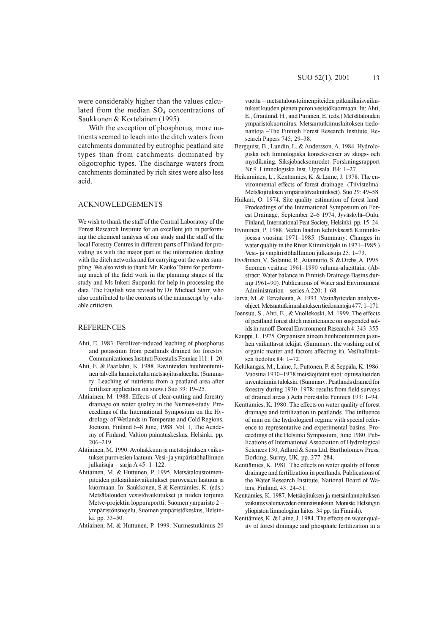With the exception of phosphorus, more nutrients seemed to leach into the ditch waters from catchments dominated by eutrophic peatland site types than from catchments dominated by oligotrophic types. The discharge waters from catchments dominated by rich sites were also less acid

# **ACKNOWLEDGEMENTS**

We wish to thank the staff of the Central Laboratory of the Forest Research Institute for an excellent job in performing the chemical analysis of our study and the staff of the local Forestry Centres in different parts of Finland for providing us with the major part of the information dealing with the ditch networks and for carrying out the water sampling. We also wish to thank Mr. Kauko Taimi for performing much of the field work in the planning stages of the study and Ms Inkeri Suopanki for help in processing the data. The English was revised by Dr. Michael Starr, who also contributed to the contents of the manuscript by valuable criticism

# **REFERENCES**

- Ahti, E. 1983. Fertilizer-induced leaching of phosphorus and potassium from peatlands drained for forestry. Communicationes Instituti Forestalis Fenniae 111: 1-20.
- Ahti, E. & Paarlahti, K. 1988. Ravinteiden huuhtoutuminen talvella lannoitetulta metsäojitusalueelta. (Summary: Leaching of nutrients from a peatland area after fertilizer application on snow.) Suo 39: 19-25.
- Ahtiainen, M. 1988. Effects of clear-cutting and forestry drainage on water quality in the Nurmes-study. Proceedings of the International Symposium on the Hydrology of Wetlands in Temperate and Cold Regions. Joensuu, Finland 6-8 June, 1988. Vol. 1, The Academy of Finland, Valtion painatuskeskus, Helsinki. pp.  $206 - 219$
- Ahtiainen, M. 1990. Avohakkuun ja metsäojituksen vaikutukset purovesien laatuun. Vesi- ja ympäristöhallinnon julkaisuja – sarja A 45: 1–122.
- Ahtiainen, M. & Huttunen, P. 1995. Metsätaloustoimenpiteiden pitkäaikaisvaikutukset purovesien laatuun ja kuormaan. In: Saukkonen, S & Kenttämies, K. (eds.) Metsätalouden vesistövaikutukset ja niiden torjunta Metve-projektin loppuraportti, Suomen ympäristö 2 – ympäristönsuojelu, Suomen ympäristökeskus, Helsinki. pp. 33-50.

Ahtiainen, M. & Huttunen, P. 1999. Nurmestutkimus 20

vuotta – metsätaloustoimenpiteiden pitkäaikaisvaikutukset kuuden pienen puron vesistökuormaan. In: Ahti, E., Granlund, H., and Puranen, E. (eds.) Metsätalouden ympäristökuormitus. Metsäntutkimuslaitoksen tiedonantoja - The Finnish Forest Research Institute, Research Papers 745, 29-38.

- Bergquist, B., Lundin, L. & Andersson, A. 1984. Hydrologiska och limnologiska konsekvenser av skogs- och myrdikning. Siksjöbäcksomrodet. Forskningsrapport Nr 9. Limnologiska Inst. Uppsala. B4: 1-27.
- Heikurainen, L., Kenttämies, K. & Laine, J. 1978. The environmental effects of forest drainage. (Tiivistelmä: Metsäojituksen ympäristövaikutukset). Suo 29: 49-58.
- Huikari, O. 1974. Site quality estimation of forest land. Prodeedings of the International Symposium on Forest Drainage, September 2-6 1974, Jyväskylä-Oulu, Finland, International Peat Society, Helsinki, pp. 15–24.
- Hynninen, P. 1988. Veden laadun kehityksestä Kiiminkijoessa vuosina 1971–1985. (Summary: Changes in water quality in the River Kiiminkijoki in 1971–1985.) Vesi- ja ympäristöhallinnon julkaisuja 25: 1–73.
- Hyvärinen, V., Solantie, R., Aitamurto, S. & Drebs, A. 1995. Suomen vesitase 1961-1990 valuma-alueittain. (Abstract: Water balance in Finnish Drainage Basins during 1961-90). Publications of Water and Environment Administration - series A 220: 1-68.
- Jarva, M. & Tervahauta, A. 1993. Vesinäytteiden analyysiohjeet. Metsäntutkimuslaitoksen tiedonantoja 477: 1-171.
- Joensuu, S., Ahti, E., & Vuollekoski, M. 1999. The effects of peatland forest ditch maintenance on suspended solids in runoff. Boreal Environment Research 4: 343-355.
- Kauppi, L. 1975. Orgaanisen aineen huuhtoutuminen ja siihen vaikuttavat tekijät. (Summary: the washing out of organic matter and factors affecting it). Vesihallituksen tiedotus 84: 1-72.
- Keltikangas, M., Laine, J., Puttonen, P. & Seppälä, K. 1986. Vuosina 1930–1978 metsäojitetut suot: ojitusalueiden inventoinnin tuloksia. (Summary: Peatlands drained for forestry during 1930-1978: results from field surveys of drained areas.) Acta Forestalia Fennica 193: 1-94.
- Kenttämies, K. 1980. The effects on water quality of forest drainage and fertilization in peatlands. The influence of man on the hydrological regime with special reference to representative and experimental basins. Proceedings of the Helsinki Symposium, June 1980. Publications of International Association of Hydrological Sciences 130, Adlard & Sons Ltd, Bartholomew Press, Dorking, Surrey, UK. pp. 277-284.
- Kenttämies, K. 1981. The effects on water quality of forest drainage and fertilization in peatlands. Publications of the Water Research Institute, National Board of Waters, Finland, 43: 24-31.
- Kenttämies, K. 1987. Metsäojituksen ja metsänlannoituksen vaikutus valumaveden ominaisuuksiin. Moniste. Helsingin yliopiston limnologian laitos. 34 pp. (in Finnish).
- Kenttämies, K. & Laine, J. 1984. The effects on water quality of forest drainage and phosphate fertilization in a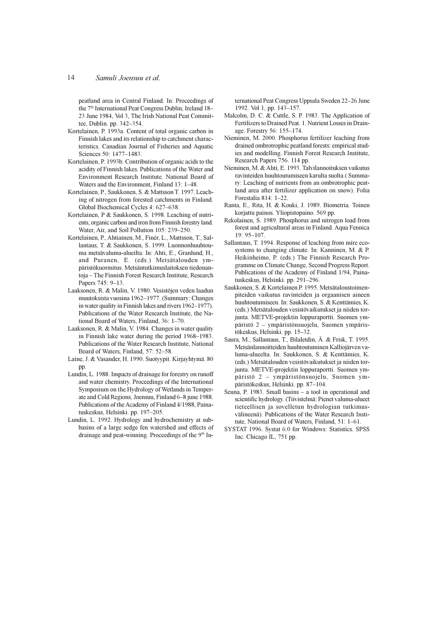#### $14$ Samuli Joensuu et al.

peatland area in Central Finland. In: Proceedings of the 7<sup>th</sup> International Peat Congress Dublin, Ireland 18-23 June 1984, Vol 3, The Irish National Peat Committee, Dublin. pp. 342-354.

- Kortelainen. P. 1993a. Content of total organic carbon in Finnish lakes and its relationship to catchment characteristics. Canadian Journal of Fisheries and Aquatic Sciences 50: 1477-1483.
- Kortelainen, P. 1993b. Contribution of organic acids to the acidity of Finnish lakes. Publications of the Water and Environment Research Institute. National Board of Waters and the Environment. Finland 13: 1–48.
- Kortelainen, P., Saukkonen, S. & Mattsson T. 1997. Leaching of nitrogen from forested catchments in Finland. Global Biochemical Cycles 4: 627-638.
- Kortelainen, P & Saukkonen, S. 1998. Leaching of nutrients, organic carbon and iron from Finnish forestry land. Water, Air, and Soil Pollution 105: 239-250.
- Kortelainen, P., Ahtiainen, M., Finér, L., Mattsson, T., Sallantaus, T. & Saukkonen, S. 1999. Luonnonhuuhtouma metsävaluma-alueilta. In: Ahti, E., Granlund, H., and Puranen, E. (eds.) Metsätalouden vmpäristökuormitus. Metsäntutkimuslaitoksen tiedonantoja - The Finnish Forest Research Institute, Research Papers 745: 9-13.
- Laaksonen, R. & Malin, V. 1980. Vesistöjen veden laadun muutoksista vuosina 1962–1977. (Summary: Changes in water quality in Finnish lakes and rivers 1962-1977). Publications of the Water Research Institute, the National Board of Waters, Finland, 36: 1-70.
- Laaksonen, R. & Malin, V. 1984. Changes in water quality in Finnish lake water during the period 1968–1983. Publications of the Water Research Institute, National Board of Waters, Finland, 57: 52-58.
- Laine, J. & Vasander, H. 1990. Suotyypit. Kirjayhtymä. 80
- Lundin, L. 1988. Impacts of drainage for forestry on runoff and water chemistry. Proceedings of the International Symposium on the Hydrology of Wetlands in Temperate and Cold Regions, Joensuu, Finland 6-8 june 1988. Publications of the Academy of Finland 4/1988, Painatuskeskus, Helsinki, pp. 197-205.
- Lundin, L. 1992. Hydrology and hydrochemistry at subbasins of a large sedge fen watershed and effects of drainage and peat-winning. Proceedings of the 9th In-

ternational Peat Congress Uppsala Sweden 22-26 June 1992. Vol 1, pp. 143-157.

- Malcolm, D. C. & Cuttle, S. P. 1983. The Application of Fertilizers to Drained Peat. 1. Nutrient Losses in Drainage. Forestry 56: 155-174.
- Nieminen, M. 2000. Phosphorus fertilizer leaching from drained ombrotrophic peatland forests: empirical studies and modelling. Finnish Forest Research Institute, Research Papers 756. 114 pp.
- Nieminen, M. & Ahti, E. 1993. Talvilannoituksen vaikutus ravinteiden huuhtoutumiseen karulta suolta.(Summary: Leaching of nutrients from an ombrotrophic peatland area after fertilizer application on snow). Folia Forestalia 814: 1-22.
- Ranta, E., Rita, H. & Kouki, J. 1989. Biometria. Toinen korjattu painos. Yliopistopaino. 569 pp.
- Rekolainen, S. 1989. Phosphorus and nitrogen load from forest and agricultural areas in Finland. Aqua Fennica  $19:95 - 107$
- Sallantaus, T. 1994. Response of leaching from mire ecosystems to changing climate. In: Kanninen, M. & P. Heikinheimo, P. (eds.) The Finnish Research Programme on Climate Change, Second Progress Report. Publications of the Academy of Finland 1/94, Painatuskeskus, Helsinki. pp. 291-296.
- Saukkonen, S. & Kortelainen P. 1995. Metsätaloustoimenpiteiden vaikutus ravinteiden ja orgaanisen aineen huuhtoutumiseen. In: Saukkonen, S. & Kenttämies, K. (eds.) Metsätalouden vesistövaikutukset ja niiden torjunta. METVE-projektin loppuraportti. Suomen ympäristö 2 - ympäristönsuojelu, Suomen ympäristökeskus, Helsinki. pp. 15-32.
- Saura, M., Sallantaus, T., Bilaletdin, Ä. & Frisk, T. 1995. Metsänlannoitteiden huuhtoutuminen Kalliojärven valuma-alueelta. In: Saukkonen, S. & Kenttämies, K. (eds.) Metsätalouden vesistövaikutukset ja niiden torjunta. METVE-projektin loppuraportti. Suomen ympäristö 2 – ympäristönsuojelu. Suomen ympäristökeskus, Helsinki. pp. 87-104.
- Seuna, P. 1983. Small basins a tool in operational and scientific hydrology. (Tiivistelmä: Pienet valuma-alueet tieteellisen ja sovelletun hydrologian tutkimusvälineenä). Publications of the Water Research Institute, National Board of Waters, Finland, 51: 1-61.
- SYSTAT 1996. Systat 6.0 for Windows: Statistics. SPSS Inc. Chicago IL, 751 pp.